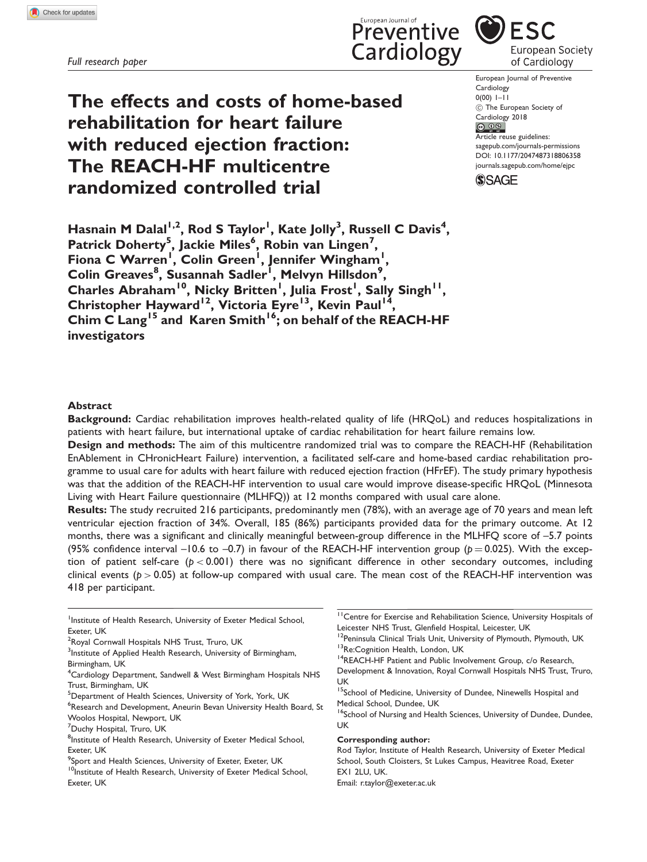Full research paper

The effects and costs of home-based rehabilitation for heart failure with reduced ejection fraction: The REACH-HF multicentre randomized controlled trial

**ESC** European Society of Cardiology

European Journal of Preventive Cardiology  $0(00)$   $1-11$ (C) The European Society of Cardiology 2018<br>
© 09 Article reuse guidelines: [sagepub.com/journals-permissions](https://uk.sagepub.com/en-gb/journals-permissions)

DOI: [10.1177/2047487318806358](https://doi.org/10.1177/2047487318806358) <journals.sagepub.com/home/ejpc>



Preventive

Cardiology

Hasnain M Dalal<sup>1,2</sup>, Rod S Taylor<sup>1</sup>, Kate Jolly<sup>3</sup>, Russell C Davis<sup>4</sup>, Patrick Doherty<sup>5</sup>, Jackie Miles<sup>6</sup>, Robin van Lingen<sup>7</sup>, Fiona C Warren<sup>1</sup>, Colin Green<sup>1</sup>, Jennifer Wingham<sup>1</sup> , Colin Greaves<sup>8</sup>, Susannah Sadler<sup>i</sup>, Melvyn Hillsdon<sup>9</sup>, Charles Abraham<sup>10</sup>, Nicky Britten<sup>1</sup>, Julia Frost<sup>1</sup>, Sally Singh<sup>11</sup>, Christopher Hayward<sup>12</sup>, Victoria Eyre<sup>13</sup>, Kevin Paul<sup>14</sup>, Chim C Lang<sup>15</sup> and Karen Smith<sup>16</sup>; on behalf of the REACH-HF investigators

### Abstract

Background: Cardiac rehabilitation improves health-related quality of life (HRQoL) and reduces hospitalizations in patients with heart failure, but international uptake of cardiac rehabilitation for heart failure remains low.

Design and methods: The aim of this multicentre randomized trial was to compare the REACH-HF (Rehabilitation EnAblement in CHronicHeart Failure) intervention, a facilitated self-care and home-based cardiac rehabilitation programme to usual care for adults with heart failure with reduced ejection fraction (HFrEF). The study primary hypothesis was that the addition of the REACH-HF intervention to usual care would improve disease-specific HRQoL (Minnesota Living with Heart Failure questionnaire (MLHFQ)) at 12 months compared with usual care alone.

Results: The study recruited 216 participants, predominantly men (78%), with an average age of 70 years and mean left ventricular ejection fraction of 34%. Overall, 185 (86%) participants provided data for the primary outcome. At 12 months, there was a significant and clinically meaningful between-group difference in the MLHFQ score of –5.7 points (95% confidence interval –10.6 to –0.7) in favour of the REACH-HF intervention group ( $p = 0.025$ ). With the exception of patient self-care ( $p < 0.001$ ) there was no significant difference in other secondary outcomes, including clinical events ( $p > 0.05$ ) at follow-up compared with usual care. The mean cost of the REACH-HF intervention was 418 per participant.

<sup>1</sup>Institute of Health Research, University of Exeter Medical School, Exeter, UK

<sup>6</sup>Research and Development, Aneurin Bevan University Health Board, St Woolos Hospital, Newport, UK

#### Corresponding author:

Rod Taylor, Institute of Health Research, University of Exeter Medical School, South Cloisters, St Lukes Campus, Heavitree Road, Exeter EX1 2LU, UK. Email: r.taylor@exeter.ac.uk

<sup>&</sup>lt;sup>2</sup>Royal Cornwall Hospitals NHS Trust, Truro, UK

<sup>&</sup>lt;sup>3</sup>Institute of Applied Health Research, University of Birmingham, Birmingham, UK

<sup>&</sup>lt;sup>4</sup>Cardiology Department, Sandwell & West Birmingham Hospitals NHS Trust, Birmingham, UK

<sup>&</sup>lt;sup>5</sup>Department of Health Sciences, University of York, York, UK

<sup>&</sup>lt;sup>7</sup>Duchy Hospital, Truro, UK

<sup>&</sup>lt;sup>8</sup>Institute of Health Research, University of Exeter Medical School, Exeter, UK

 $\rm{^9}$ Sport and Health Sciences, University of Exeter, Exeter, UK

<sup>&</sup>lt;sup>10</sup>Institute of Health Research, University of Exeter Medical School, Exeter, UK

<sup>&</sup>lt;sup>11</sup>Centre for Exercise and Rehabilitation Science, University Hospitals of Leicester NHS Trust, Glenfield Hospital, Leicester, UK <sup>12</sup> Peninsula Clinical Trials Unit, University of Plymouth, Plymouth, UK

<sup>&</sup>lt;sup>13</sup>Re:Cognition Health, London, UK

<sup>&</sup>lt;sup>14</sup>REACH-HF Patient and Public Involvement Group, c/o Research,

Development & Innovation, Royal Cornwall Hospitals NHS Trust, Truro, UK

<sup>&</sup>lt;sup>15</sup>School of Medicine, University of Dundee, Ninewells Hospital and Medical School, Dundee, UK

<sup>&</sup>lt;sup>16</sup>School of Nursing and Health Sciences, University of Dundee, Dundee, UK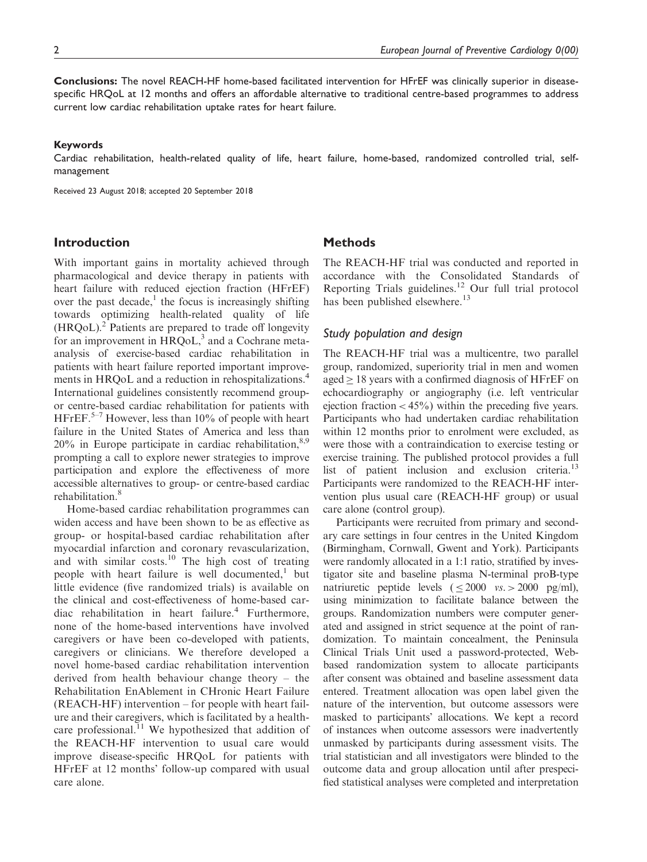Conclusions: The novel REACH-HF home-based facilitated intervention for HFrEF was clinically superior in diseasespecific HRQoL at 12 months and offers an affordable alternative to traditional centre-based programmes to address current low cardiac rehabilitation uptake rates for heart failure.

#### Keywords

Cardiac rehabilitation, health-related quality of life, heart failure, home-based, randomized controlled trial, selfmanagement

Received 23 August 2018; accepted 20 September 2018

## Introduction

With important gains in mortality achieved through pharmacological and device therapy in patients with heart failure with reduced ejection fraction (HFrEF) over the past decade, $\frac{1}{1}$  the focus is increasingly shifting towards optimizing health-related quality of life  $(HRQoL)<sup>2</sup>$  Patients are prepared to trade off longevity for an improvement in  $HRQoL$ ,<sup>3</sup> and a Cochrane metaanalysis of exercise-based cardiac rehabilitation in patients with heart failure reported important improvements in HRQoL and a reduction in rehospitalizations.<sup>4</sup> International guidelines consistently recommend groupor centre-based cardiac rehabilitation for patients with HFrEF.<sup>5–7</sup> However, less than 10% of people with heart failure in the United States of America and less than  $20\%$  in Europe participate in cardiac rehabilitation,  $8.9$ prompting a call to explore newer strategies to improve participation and explore the effectiveness of more accessible alternatives to group- or centre-based cardiac rehabilitation.<sup>8</sup>

Home-based cardiac rehabilitation programmes can widen access and have been shown to be as effective as group- or hospital-based cardiac rehabilitation after myocardial infarction and coronary revascularization, and with similar costs.<sup>10</sup> The high cost of treating people with heart failure is well documented,<sup>1</sup> but little evidence (five randomized trials) is available on the clinical and cost-effectiveness of home-based cardiac rehabilitation in heart failure.<sup>4</sup> Furthermore, none of the home-based interventions have involved caregivers or have been co-developed with patients, caregivers or clinicians. We therefore developed a novel home-based cardiac rehabilitation intervention derived from health behaviour change theory – the Rehabilitation EnAblement in CHronic Heart Failure (REACH-HF) intervention – for people with heart failure and their caregivers, which is facilitated by a healthcare professional. $^{11}$  We hypothesized that addition of the REACH-HF intervention to usual care would improve disease-specific HRQoL for patients with HFrEF at 12 months' follow-up compared with usual care alone.

### **Methods**

The REACH-HF trial was conducted and reported in accordance with the Consolidated Standards of Reporting Trials guidelines.<sup>12</sup> Our full trial protocol has been published elsewhere.<sup>13</sup>

### Study population and design

The REACH-HF trial was a multicentre, two parallel group, randomized, superiority trial in men and women  $aged \geq 18$  years with a confirmed diagnosis of HFrEF on echocardiography or angiography (i.e. left ventricular ejection fraction  $< 45\%$ ) within the preceding five years. Participants who had undertaken cardiac rehabilitation within 12 months prior to enrolment were excluded, as were those with a contraindication to exercise testing or exercise training. The published protocol provides a full list of patient inclusion and exclusion criteria.<sup>13</sup> Participants were randomized to the REACH-HF intervention plus usual care (REACH-HF group) or usual care alone (control group).

Participants were recruited from primary and secondary care settings in four centres in the United Kingdom (Birmingham, Cornwall, Gwent and York). Participants were randomly allocated in a 1:1 ratio, stratified by investigator site and baseline plasma N-terminal proB-type natriuretic peptide levels  $(\leq 2000 \text{ vs.} > 2000 \text{ pg/ml})$ , using minimization to facilitate balance between the groups. Randomization numbers were computer generated and assigned in strict sequence at the point of randomization. To maintain concealment, the Peninsula Clinical Trials Unit used a password-protected, Webbased randomization system to allocate participants after consent was obtained and baseline assessment data entered. Treatment allocation was open label given the nature of the intervention, but outcome assessors were masked to participants' allocations. We kept a record of instances when outcome assessors were inadvertently unmasked by participants during assessment visits. The trial statistician and all investigators were blinded to the outcome data and group allocation until after prespecified statistical analyses were completed and interpretation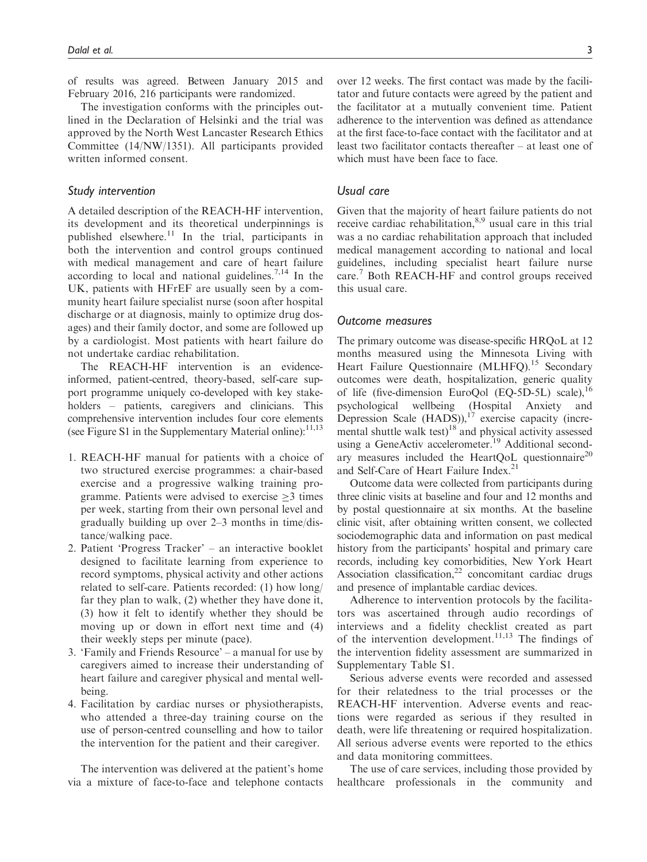of results was agreed. Between January 2015 and February 2016, 216 participants were randomized.

The investigation conforms with the principles outlined in the Declaration of Helsinki and the trial was approved by the North West Lancaster Research Ethics Committee (14/NW/1351). All participants provided written informed consent.

### Study intervention

A detailed description of the REACH-HF intervention, its development and its theoretical underpinnings is published elsewhere.<sup>11</sup> In the trial, participants in both the intervention and control groups continued with medical management and care of heart failure according to local and national guidelines.<sup>7,14</sup> In the UK, patients with HFrEF are usually seen by a community heart failure specialist nurse (soon after hospital discharge or at diagnosis, mainly to optimize drug dosages) and their family doctor, and some are followed up by a cardiologist. Most patients with heart failure do not undertake cardiac rehabilitation.

The REACH-HF intervention is an evidenceinformed, patient-centred, theory-based, self-care support programme uniquely co-developed with key stakeholders – patients, caregivers and clinicians. This comprehensive intervention includes four core elements (see Figure S1 in the Supplementary Material online): $11,13$ 

- 1. REACH-HF manual for patients with a choice of two structured exercise programmes: a chair-based exercise and a progressive walking training programme. Patients were advised to exercise  $\geq$  1 times per week, starting from their own personal level and gradually building up over 2–3 months in time/distance/walking pace.
- 2. Patient 'Progress Tracker' an interactive booklet designed to facilitate learning from experience to record symptoms, physical activity and other actions related to self-care. Patients recorded: (1) how long/ far they plan to walk, (2) whether they have done it, (3) how it felt to identify whether they should be moving up or down in effort next time and (4) their weekly steps per minute (pace).
- 3. 'Family and Friends Resource' a manual for use by caregivers aimed to increase their understanding of heart failure and caregiver physical and mental wellbeing.
- 4. Facilitation by cardiac nurses or physiotherapists, who attended a three-day training course on the use of person-centred counselling and how to tailor the intervention for the patient and their caregiver.

The intervention was delivered at the patient's home via a mixture of face-to-face and telephone contacts over 12 weeks. The first contact was made by the facilitator and future contacts were agreed by the patient and the facilitator at a mutually convenient time. Patient adherence to the intervention was defined as attendance at the first face-to-face contact with the facilitator and at least two facilitator contacts thereafter – at least one of which must have been face to face.

### Usual care

Given that the majority of heart failure patients do not receive cardiac rehabilitation,<sup>8,9</sup> usual care in this trial was a no cardiac rehabilitation approach that included medical management according to national and local guidelines, including specialist heart failure nurse care.<sup>7</sup> Both REACH-HF and control groups received this usual care.

#### Outcome measures

The primary outcome was disease-specific HRQoL at 12 months measured using the Minnesota Living with Heart Failure Questionnaire (MLHFQ).<sup>15</sup> Secondary outcomes were death, hospitalization, generic quality of life (five-dimension EuroQol (EQ-5D-5L) scale),<sup>16</sup> psychological wellbeing (Hospital Anxiety and Depression Scale  $(HADS)$ ,<sup>17</sup> exercise capacity (incremental shuttle walk test)<sup>18</sup> and physical activity assessed using a GeneActiv accelerometer.<sup>19</sup> Additional secondary measures included the HeartQoL questionnaire $^{20}$ and Self-Care of Heart Failure Index.<sup>21</sup>

Outcome data were collected from participants during three clinic visits at baseline and four and 12 months and by postal questionnaire at six months. At the baseline clinic visit, after obtaining written consent, we collected sociodemographic data and information on past medical history from the participants' hospital and primary care records, including key comorbidities, New York Heart Association classification, $2^2$  concomitant cardiac drugs and presence of implantable cardiac devices.

Adherence to intervention protocols by the facilitators was ascertained through audio recordings of interviews and a fidelity checklist created as part of the intervention development.<sup>11,13</sup> The findings of the intervention fidelity assessment are summarized in Supplementary Table S1.

Serious adverse events were recorded and assessed for their relatedness to the trial processes or the REACH-HF intervention. Adverse events and reactions were regarded as serious if they resulted in death, were life threatening or required hospitalization. All serious adverse events were reported to the ethics and data monitoring committees.

The use of care services, including those provided by healthcare professionals in the community and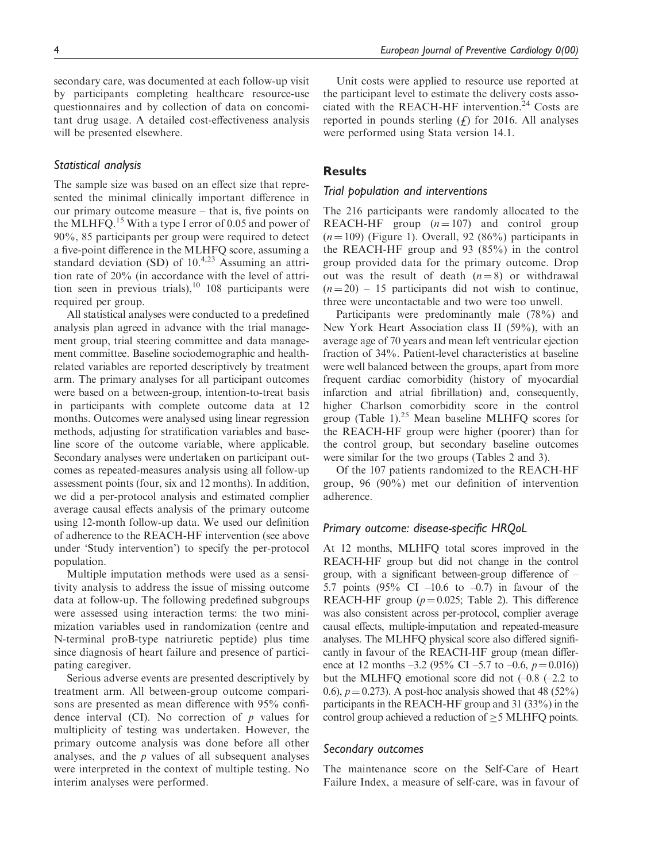secondary care, was documented at each follow-up visit by participants completing healthcare resource-use questionnaires and by collection of data on concomitant drug usage. A detailed cost-effectiveness analysis will be presented elsewhere.

### Statistical analysis

The sample size was based on an effect size that represented the minimal clinically important difference in our primary outcome measure – that is, five points on the MLHFO.<sup>15</sup> With a type I error of 0.05 and power of 90%, 85 participants per group were required to detect a five-point difference in the MLHFQ score, assuming a standard deviation (SD) of  $10^{4,23}$  Assuming an attrition rate of 20% (in accordance with the level of attrition seen in previous trials), $10$  108 participants were required per group.

All statistical analyses were conducted to a predefined analysis plan agreed in advance with the trial management group, trial steering committee and data management committee. Baseline sociodemographic and healthrelated variables are reported descriptively by treatment arm. The primary analyses for all participant outcomes were based on a between-group, intention-to-treat basis in participants with complete outcome data at 12 months. Outcomes were analysed using linear regression methods, adjusting for stratification variables and baseline score of the outcome variable, where applicable. Secondary analyses were undertaken on participant outcomes as repeated-measures analysis using all follow-up assessment points (four, six and 12 months). In addition, we did a per-protocol analysis and estimated complier average causal effects analysis of the primary outcome using 12-month follow-up data. We used our definition of adherence to the REACH-HF intervention (see above under 'Study intervention') to specify the per-protocol population.

Multiple imputation methods were used as a sensitivity analysis to address the issue of missing outcome data at follow-up. The following predefined subgroups were assessed using interaction terms: the two minimization variables used in randomization (centre and N-terminal proB-type natriuretic peptide) plus time since diagnosis of heart failure and presence of participating caregiver.

Serious adverse events are presented descriptively by treatment arm. All between-group outcome comparisons are presented as mean difference with 95% confidence interval (CI). No correction of  $p$  values for multiplicity of testing was undertaken. However, the primary outcome analysis was done before all other analyses, and the  $p$  values of all subsequent analyses were interpreted in the context of multiple testing. No interim analyses were performed.

Unit costs were applied to resource use reported at the participant level to estimate the delivery costs associated with the REACH-HF intervention.<sup>24</sup> Costs are reported in pounds sterling  $(f)$  for 2016. All analyses were performed using Stata version 14.1.

# **Results**

### Trial population and interventions

The 216 participants were randomly allocated to the REACH-HF group  $(n = 107)$  and control group  $(n = 109)$  (Figure 1). Overall, 92 (86%) participants in the REACH-HF group and 93 (85%) in the control group provided data for the primary outcome. Drop out was the result of death  $(n=8)$  or withdrawal  $(n = 20) - 15$  participants did not wish to continue, three were uncontactable and two were too unwell.

Participants were predominantly male (78%) and New York Heart Association class II (59%), with an average age of 70 years and mean left ventricular ejection fraction of 34%. Patient-level characteristics at baseline were well balanced between the groups, apart from more frequent cardiac comorbidity (history of myocardial infarction and atrial fibrillation) and, consequently, higher Charlson comorbidity score in the control group (Table 1). $^{25}$  Mean baseline MLHFQ scores for the REACH-HF group were higher (poorer) than for the control group, but secondary baseline outcomes were similar for the two groups (Tables 2 and 3).

Of the 107 patients randomized to the REACH-HF group, 96 (90%) met our definition of intervention adherence.

### Primary outcome: disease-specific HRQoL

At 12 months, MLHFQ total scores improved in the REACH-HF group but did not change in the control group, with a significant between-group difference of – 5.7 points  $(95\% \text{ CI} -10.6 \text{ to } -0.7)$  in favour of the REACH-HF group ( $p = 0.025$ ; Table 2). This difference was also consistent across per-protocol, complier average causal effects, multiple-imputation and repeated-measure analyses. The MLHFQ physical score also differed significantly in favour of the REACH-HF group (mean difference at 12 months –3.2 (95% CI –5.7 to –0.6,  $p = 0.016$ )) but the MLHFQ emotional score did not (–0.8 (–2.2 to 0.6),  $p = 0.273$ . A post-hoc analysis showed that 48 (52%) participants in the REACH-HF group and 31 (33%) in the control group achieved a reduction of  $\geq$  5 MLHFQ points.

## Secondary outcomes

The maintenance score on the Self-Care of Heart Failure Index, a measure of self-care, was in favour of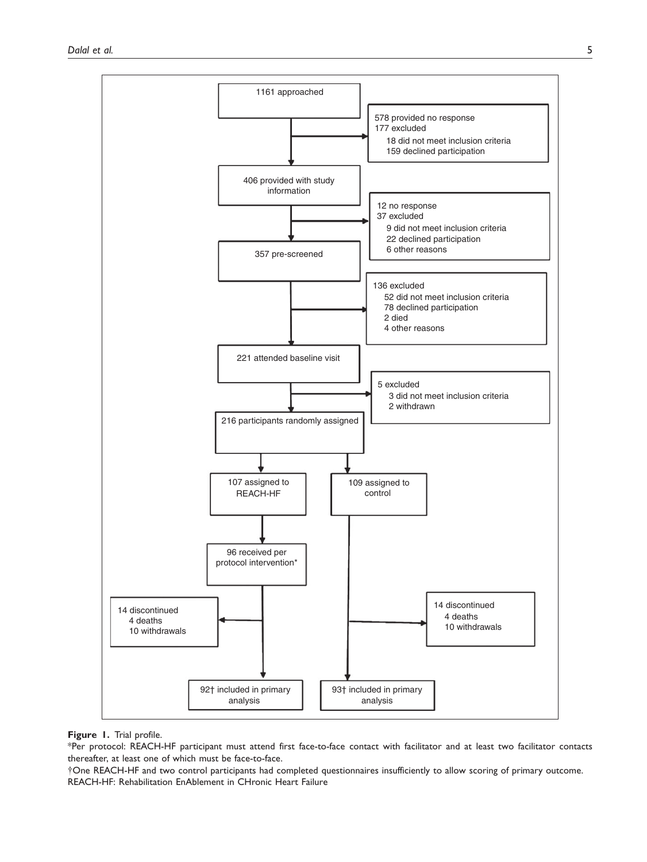

### Figure 1. Trial profile.

\*Per protocol: REACH-HF participant must attend first face-to-face contact with facilitator and at least two facilitator contacts thereafter, at least one of which must be face-to-face.

yOne REACH-HF and two control participants had completed questionnaires insufficiently to allow scoring of primary outcome. REACH-HF: Rehabilitation EnAblement in CHronic Heart Failure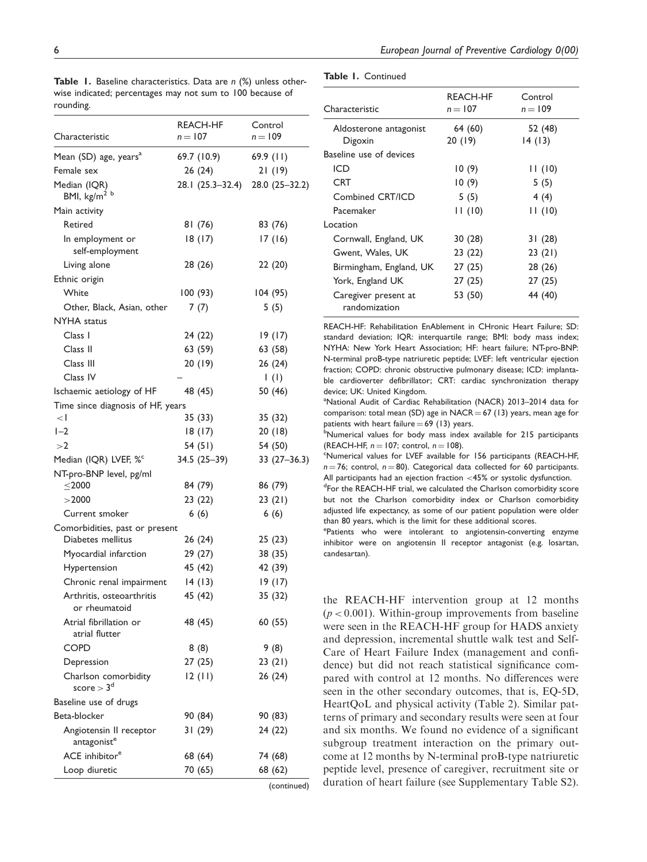Table 1. Baseline characteristics. Data are n (%) unless otherwise indicated; percentages may not sum to 100 because of rounding.

Table 1. Continued

| rounaing.                                           |                       |                                 |
|-----------------------------------------------------|-----------------------|---------------------------------|
| Characteristic                                      | REACH-HF<br>$n = 107$ | Control<br>$n = 109$            |
| Mean (SD) age, years <sup>a</sup>                   | 69.7 (10.9)           | 69.9(11)                        |
| Female sex                                          | 26 (24)               | 21(19)                          |
| Median (IQR)<br>BMI, kg/m <sup>2 b</sup>            | 28.1 (25.3–32.4)      | 28.0 (25-32.2)                  |
| Main activity                                       |                       |                                 |
| Retired                                             | 81 (76)               | 83 (76)                         |
| In employment or<br>self-employment                 | 18(17)                | 17(16)                          |
| Living alone                                        | 28 (26)               | 22(20)                          |
| Ethnic origin                                       |                       |                                 |
| White                                               | 100 (93)              | 104(95)                         |
| Other, Black, Asian, other                          | 7(7)                  | 5(5)                            |
| NYHA status                                         |                       |                                 |
| Class I                                             | 24 (22)               | 19(17)                          |
| Class II                                            | 63 (59)               | 63 (58)                         |
| Class III                                           | 20 (19)               | 26(24)                          |
| Class IV                                            |                       | $\left( \left  \right  \right)$ |
| Ischaemic aetiology of HF                           | 48 (45)               | 50 (46)                         |
| Time since diagnosis of HF, years                   |                       |                                 |
| $\langle$                                           | 35 (33)               | 35 (32)                         |
| $I-2$                                               | 18(17)                | 20(18)                          |
| >2                                                  | 54 (51)               | 54 (50)                         |
| Median (IQR) LVEF, % <sup>c</sup>                   | 34.5 (25-39)          | $33(27-36.3)$                   |
| NT-pro-BNP level, pg/ml                             |                       |                                 |
| $<$ 2000                                            | 84 (79)               | 86 (79)                         |
| >2000                                               | 23 (22)               | 23(21)                          |
| Current smoker                                      | 6(6)                  | 6(6)                            |
| Comorbidities, past or present<br>Diabetes mellitus |                       | 25(23)                          |
| Myocardial infarction                               | 26 (24)               |                                 |
|                                                     | 29 (27)               | 38 (35)                         |
| <b>Hypertension</b>                                 | 45 (42)               | 42 (39)                         |
| Chronic renal impairment                            | 14(13)                | 19(17)                          |
| Arthritis, osteoarthritis<br>or rheumatoid          | 45 (42)               | 35 (32)                         |
| Atrial fibrillation or<br>atrial flutter            | 48 (45)               | 60 (55)                         |
| COPD                                                | 8(8)                  | 9(8)                            |
| Depression                                          | 27 (25)               | 23(21)                          |
| Charlson comorbidity<br>score $>3^d$                | 12(11)                | 26 (24)                         |
| Baseline use of drugs                               |                       |                                 |
| Beta-blocker                                        | 90 (84)               | 90 (83)                         |
| Angiotensin II receptor<br>antagonist <sup>e</sup>  | 31 (29)               | 24 (22)                         |
| ACE inhibitor <sup>e</sup>                          | 68 (64)               | 74 (68)                         |
| Loop diuretic                                       | 70 (65)               | 68 (62)                         |
|                                                     |                       | (continued)                     |

| Characteristic                        | REACH-HF<br>$n = 107$ | Control<br>$n = 109$ |
|---------------------------------------|-----------------------|----------------------|
| Aldosterone antagonist<br>Digoxin     | 64 (60)<br>20(19)     | 52 (48)<br>14(13)    |
| Baseline use of devices               |                       |                      |
| ICD                                   | 10(9)                 | 11(10)               |
| <b>CRT</b>                            | 10(9)                 | 5(5)                 |
| Combined CRT/ICD                      | 5(5)                  | 4(4)                 |
| Pacemaker                             | 11(10)                | 11(10)               |
| Location                              |                       |                      |
| Cornwall, England, UK                 | 30(28)                | 31(28)               |
| Gwent, Wales, UK                      | 23(22)                | 23(21)               |
| Birmingham, England, UK               | 27(25)                | 28 (26)              |
| York, England UK                      | 27(25)                | 27 (25)              |
| Caregiver present at<br>randomization | 53 (50)               | 44 (40)              |

REACH-HF: Rehabilitation EnAblement in CHronic Heart Failure; SD: standard deviation; IQR: interquartile range; BMI: body mass index; NYHA: New York Heart Association; HF: heart failure; NT-pro-BNP: N-terminal proB-type natriuretic peptide; LVEF: left ventricular ejection fraction; COPD: chronic obstructive pulmonary disease; ICD: implantable cardioverter defibrillator; CRT: cardiac synchronization therapy device; UK: United Kingdom.

<sup>a</sup>National Audit of Cardiac Rehabilitation (NACR) 2013-2014 data for comparison: total mean (SD) age in NACR =  $67$  (13) years, mean age for patients with heart failure  $= 69$  (13) years.

<sup>b</sup>Numerical values for body mass index available for 215 participants (REACH-HF,  $n = 107$ ; control,  $n = 108$ ).

Numerical values for LVEF available for 156 participants (REACH-HF,  $n = 76$ ; control,  $n = 80$ ). Categorical data collected for 60 participants. All participants had an ejection fraction  $<$  45% or systolic dysfunction.

<sup>d</sup>For the REACH-HF trial, we calculated the Charlson comorbidity score but not the Charlson comorbidity index or Charlson comorbidity adjusted life expectancy, as some of our patient population were older than 80 years, which is the limit for these additional scores.

ePatients who were intolerant to angiotensin-converting enzyme inhibitor were on angiotensin II receptor antagonist (e.g. losartan, candesartan).

the REACH-HF intervention group at 12 months  $(p < 0.001)$ . Within-group improvements from baseline were seen in the REACH-HF group for HADS anxiety and depression, incremental shuttle walk test and Self-Care of Heart Failure Index (management and confidence) but did not reach statistical significance compared with control at 12 months. No differences were seen in the other secondary outcomes, that is, EQ-5D, HeartQoL and physical activity (Table 2). Similar patterns of primary and secondary results were seen at four and six months. We found no evidence of a significant subgroup treatment interaction on the primary outcome at 12 months by N-terminal proB-type natriuretic peptide level, presence of caregiver, recruitment site or duration of heart failure (see Supplementary Table S2).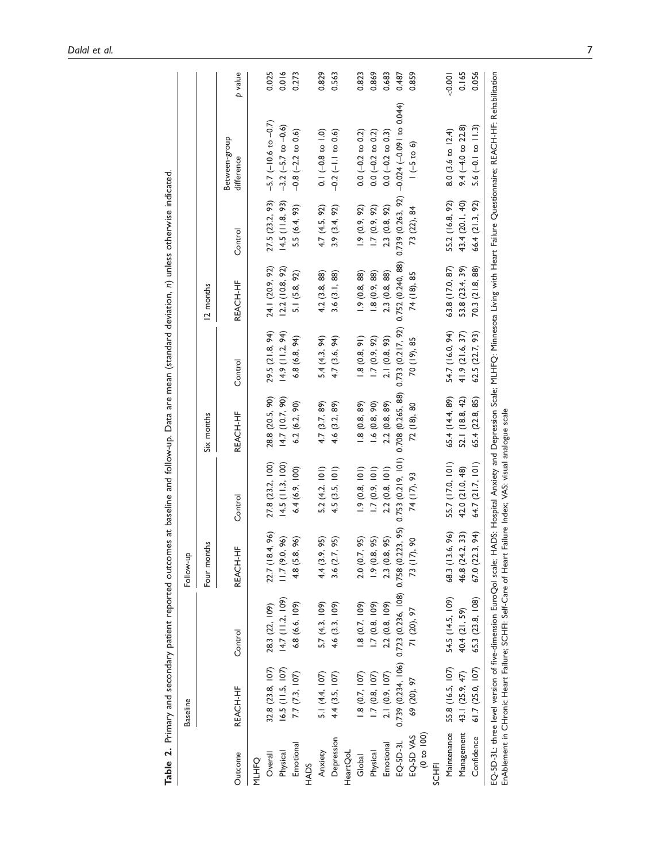|              | <b>Baseline</b>    |                                                                                                          | Follow-up              |                   |                   |                  |                   |                   |                                                                                                                                                                                                |         |
|--------------|--------------------|----------------------------------------------------------------------------------------------------------|------------------------|-------------------|-------------------|------------------|-------------------|-------------------|------------------------------------------------------------------------------------------------------------------------------------------------------------------------------------------------|---------|
|              |                    |                                                                                                          | Four months            |                   | Six months        |                  | 12 months         |                   |                                                                                                                                                                                                |         |
| Outcome      | REACH-HF           | Control                                                                                                  | REACH-HF               | Control           | REACH-HF          | Control          | REACH-HF          | Control           | Between-group<br>difference                                                                                                                                                                    | p value |
| <b>MLHFO</b> |                    |                                                                                                          |                        |                   |                   |                  |                   |                   |                                                                                                                                                                                                |         |
| Overall      | 32.8 (23.8, 107)   | 28.3 (22, 109)                                                                                           | 8.4, 96)<br>22.7 (1    | 27.8 (23.2, 100)  | 28.8 (20.5, 90)   | 29.5 (21.8, 94)  | 24.1 (20.9, 92)   | 27.5 (23.2, 93)   | $-5.7$ ( $-10.6$ to $-0.7$ )                                                                                                                                                                   | 0.025   |
| Physical     | $16.5$ (11.5, 107) | 14.7 (11.2, 109)                                                                                         | 11.7(9.0, 96)          | 14.5(11.3, 100)   | 14.7(10.7,90)     | 14.9(11.2, 94)   | (2.2(10.8, 92))   | 14.5(11.8, 93)    | $-3.2 (-5.7 to -0.6)$                                                                                                                                                                          | 0.016   |
| Emotional    | 7.7 (7.3, 107)     | 6.8 (6.6, 109)                                                                                           | 4.8 (5.8, 96)          | 6.4(6.9, 100)     | 6.2(6.2, 90)      | 6.8(6.8, 94)     | 5.1 (5.8, 92)     | 5.5 (6.4, 93)     | $-0.8$ $(-2.2$ to 0.6)                                                                                                                                                                         | 0.273   |
| HADS         |                    |                                                                                                          |                        |                   |                   |                  |                   |                   |                                                                                                                                                                                                |         |
| Anxiety      | 5.1 (4.4, 107)     | 5.7 (4.3, 109)                                                                                           | 4.4 (3.9, 95)          | 5.2 (4.2, 101)    | 4.7 (3.7, 89)     | 5.4(4.3, 94)     | 4.2 (3.8, 88)     | 4.7 (4.5, 92)     | $0.1 (-0.8 \text{ to } 1.0)$                                                                                                                                                                   | 0.829   |
| Depression   | 4.4 (3.5, 107)     | 4.6 (3.3, 109)                                                                                           | 3.6(2.7, 95)           | 4.5(3.5, 101)     | 4.6 (3.2, 89)     | 4.7 (3.6, 94)    | 3.6(3.1, 88)      | 3.9(3.4, 92)      | $-0.2$ $(-1.1$ to 0.6)                                                                                                                                                                         | 0.563   |
| HeartQoL     |                    |                                                                                                          |                        |                   |                   |                  |                   |                   |                                                                                                                                                                                                |         |
| Global       | 1.8(0.7, 107)      | 1.8(0.7, 109)                                                                                            | 2.0(0.7, 95)           | 1.9(0.8, 101)     | 1.8(0.8, 89)      | 1.8(0.8, 91)     | 1.9(0.8, 88)      | (0.9, 92)         | $0.0 (-0.2$ to $0.2)$                                                                                                                                                                          | 0.823   |
| Physical     | 1.7(0.8, 107)      | 1.7(0.8, 109)                                                                                            | 1.9(0.8, 95)           | 1.7(0.9, 101)     | 1.6(0.8, 90)      | 1.7(0.9, 92)     | 1.8(0.9, 88)      | 1.7(0.9, 92)      | $0.0 (-0.2 \text{ to } 0.2)$                                                                                                                                                                   | 0.869   |
| Emotional    | 2.1 (0.9, 107)     | 2.2 (0.8, 109)                                                                                           | 0.8,95)<br>2.3(0)      | 2.2(0.8, 101)     | 2.2(0.8, 89)      | 2.1(0.8, 93)     | 2.3(0.8, 88)      | 2.3(0.8, 92)      | $0.0 (-0.2 \text{ to } 0.3)$                                                                                                                                                                   | 0.683   |
| EQ-5D-3L     |                    | 0.739 (0.234, 106) 0.723 (0.236, 108) 0.758 (0.223, 95)                                                  |                        | 0.753(0.219, 101) | 0.708 (0.265, 88) | 0.733(0.217, 92) | 0.752 (0.240, 88) | 0.739 (0.263, 92) | $-0.024$ $(-0.091$ to 0.044)                                                                                                                                                                   | 0.487   |
| EQ-5D VAS    | 69 (20), 97        | 71 (20), 97                                                                                              | 17,90<br>$\frac{1}{2}$ | 74 (17), 93       | 72 (18), 80       | 70 (19), 85      | 74 (18), 85       | 73 (22), 84       | $(-5 \text{ to } 6)$                                                                                                                                                                           | 0.859   |
| (0 1 00)     |                    |                                                                                                          |                        |                   |                   |                  |                   |                   |                                                                                                                                                                                                |         |
| <b>SCHFI</b> |                    |                                                                                                          |                        |                   |                   |                  |                   |                   |                                                                                                                                                                                                |         |
| Maintenance  | 55.8 (16.5, 107)   | 54.5 (14.5, 109)                                                                                         | 68.3 (13.6, 96)        | 55.7 (17.0, 101)  | 65.4 (14.4, 89)   | 54.7 (16.0, 94)  | 63.8 (17.0, 87)   | 55.2 (16.8, 92)   | 8.0 (3.6 to 12.4)                                                                                                                                                                              | < 0.001 |
| Management   | 43.1 (25.9, 47)    | 40.4 (21, 59)                                                                                            | 46.8 (24.2, 33)        | 42.0 (21.0, 48)   | 52.1 (18.8, 42)   | 41.9 (21.6, 37)  | 53.8 (23.4, 39)   | 43.4 (20.1, 40)   | 9.4 $(-4.0 \text{ to } 22.8)$                                                                                                                                                                  | 0.165   |
| Confidence   | 61.7 (25.0, 107)   | 65.3 (23.8, 108)                                                                                         | 67.0 (22.3, 94)        | 64.7 (21.7, 101)  | 65.4 (22.8, 85)   | 62.5 (22.7, 93)  | 70.3 (21.8, 88)   | 66.4 (21.3, 92)   | $5.6(-0.1 to 11.3)$                                                                                                                                                                            | 0.056   |
|              |                    | EnAblement in CHronic Heart Failure; SCHFI: Self-Care of Heart Failure Index; YAS: visual analogue scale |                        |                   |                   |                  |                   |                   | EQ-5D-3L: three level version of five-dimension EuroQol scale; HADS: Hospital Anxiety and Depression Scale; MLHFQ: Minnesota Living with Heart Failure Questionnaire; REACH-HF: Rehabilitation |         |

Table 2. Primary and secondary patient reported outcomes at baseline and follow-up. Data are mean (standard deviation, n) unless otherwise indicated. Table 2. Primary and secondary patient reported outcomes at baseline and follow-up. Data are mean (standard deviation, n) unless otherwise indicated.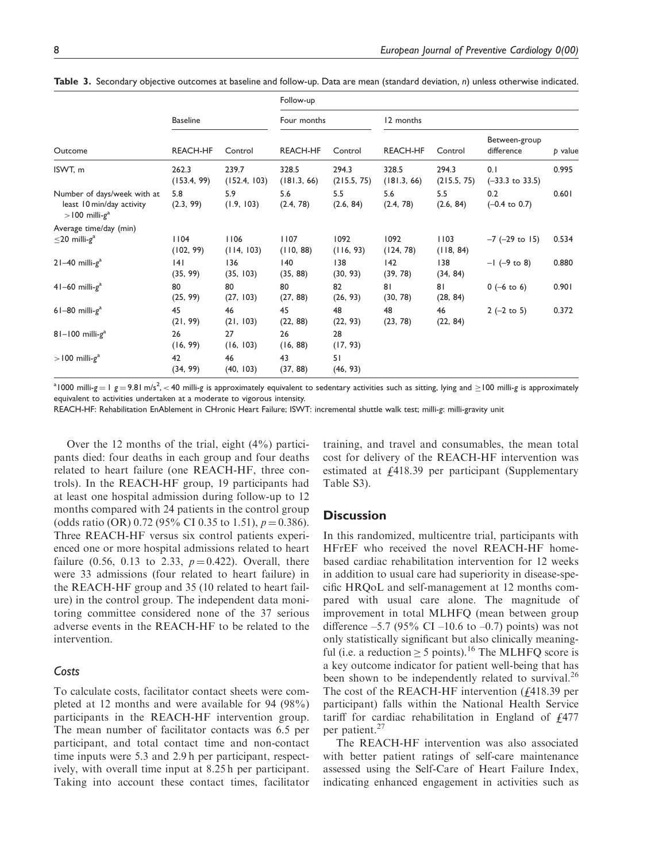|                                                                                          |                      |                       | Follow-up            |                      |                      |                      |                                   |         |
|------------------------------------------------------------------------------------------|----------------------|-----------------------|----------------------|----------------------|----------------------|----------------------|-----------------------------------|---------|
|                                                                                          | <b>Baseline</b>      |                       | Four months          |                      | 12 months            |                      |                                   |         |
| Outcome                                                                                  | <b>REACH-HF</b>      | Control               | <b>REACH-HF</b>      | Control              | <b>REACH-HF</b>      | Control              | Between-group<br>difference       | p value |
| ISWT, m                                                                                  | 262.3<br>(153.4, 99) | 239.7<br>(152.4, 103) | 328.5<br>(181.3, 66) | 294.3<br>(215.5, 75) | 328.5<br>(181.3, 66) | 294.3<br>(215.5, 75) | 0.1<br>$(-33.3 \text{ to } 33.5)$ | 0.995   |
| Number of days/week with at<br>least 10 min/day activity<br>$>$ 100 milli-g <sup>a</sup> | 5.8<br>(2.3, 99)     | 5.9<br>(1.9, 103)     | 5.6<br>(2.4, 78)     | 5.5<br>(2.6, 84)     | 5.6<br>(2.4, 78)     | 5.5<br>(2.6, 84)     | 0.2<br>$(-0.4 \text{ to } 0.7)$   | 0.601   |
| Average time/day (min)<br>$\leq$ 20 milli-g <sup>a</sup>                                 | 1104<br>(102, 99)    | 1106<br>(114, 103)    | 1107<br>(110, 88)    | 1092<br>(116, 93)    | 1092<br>(124, 78)    | 1103<br>(118, 84)    | $-7$ ( $-29$ to 15)               | 0.534   |
| $21-40$ milli- $ga$                                                                      | 4 <br>(35, 99)       | 136<br>(35, 103)      | 140<br>(35, 88)      | 138<br>(30, 93)      | 42<br>(39, 78)       | 138<br>(34, 84)      | $-1$ (-9 to 8)                    | 0.880   |
| $41-60$ milli- $ga$                                                                      | 80<br>(25, 99)       | 80<br>(27, 103)       | 80<br>(27, 88)       | 82<br>(26, 93)       | 81<br>(30, 78)       | 81<br>(28, 84)       | $0 (-6 \text{ to } 6)$            | 0.901   |
| $61-80$ milli- $ga$                                                                      | 45<br>(21, 99)       | 46<br>(21, 103)       | 45<br>(22, 88)       | 48<br>(22, 93)       | 48<br>(23, 78)       | 46<br>(22, 84)       | $2(-2 \text{ to } 5)$             | 0.372   |
| $81-100$ milli- $ga$                                                                     | 26<br>(16, 99)       | 27<br>(16, 103)       | 26<br>(16, 88)       | 28<br>(17, 93)       |                      |                      |                                   |         |
| $>$ 100 milli-g <sup>a</sup>                                                             | 42<br>(34, 99)       | 46<br>(40, 103)       | 43<br>(37, 88)       | 51<br>(46, 93)       |                      |                      |                                   |         |

Table 3. Secondary objective outcomes at baseline and follow-up. Data are mean (standard deviation, n) unless otherwise indicated.

 $^{\text{a}}$ 1000 milli-g = 1 g = 9.81 m/s<sup>2</sup>, < 40 milli-g is approximately equivalent to sedentary activities such as sitting, lying and  $\geq$  100 milli-g is approximately equivalent to activities undertaken at a moderate to vigorous intensity.

REACH-HF: Rehabilitation EnAblement in CHronic Heart Failure; ISWT: incremental shuttle walk test; milli-g: milli-gravity unit

Over the 12 months of the trial, eight (4%) participants died: four deaths in each group and four deaths related to heart failure (one REACH-HF, three controls). In the REACH-HF group, 19 participants had at least one hospital admission during follow-up to 12 months compared with 24 patients in the control group (odds ratio (OR) 0.72 (95% CI 0.35 to 1.51),  $p = 0.386$ ). Three REACH-HF versus six control patients experienced one or more hospital admissions related to heart failure (0.56, 0.13 to 2.33,  $p = 0.422$ ). Overall, there were 33 admissions (four related to heart failure) in the REACH-HF group and 35 (10 related to heart failure) in the control group. The independent data monitoring committee considered none of the 37 serious adverse events in the REACH-HF to be related to the intervention.

# Costs

To calculate costs, facilitator contact sheets were completed at 12 months and were available for 94 (98%) participants in the REACH-HF intervention group. The mean number of facilitator contacts was 6.5 per participant, and total contact time and non-contact time inputs were 5.3 and 2.9 h per participant, respectively, with overall time input at 8.25 h per participant. Taking into account these contact times, facilitator

training, and travel and consumables, the mean total cost for delivery of the REACH-HF intervention was estimated at  $\frac{1}{4}$ 418.39 per participant (Supplementary Table S3).

### **Discussion**

In this randomized, multicentre trial, participants with HFrEF who received the novel REACH-HF homebased cardiac rehabilitation intervention for 12 weeks in addition to usual care had superiority in disease-specific HRQoL and self-management at 12 months compared with usual care alone. The magnitude of improvement in total MLHFQ (mean between group difference –5.7 (95% CI –10.6 to –0.7) points) was not only statistically significant but also clinically meaningful (i.e. a reduction  $\geq 5$  points).<sup>16</sup> The MLHFQ score is a key outcome indicator for patient well-being that has been shown to be independently related to survival.<sup>26</sup> The cost of the REACH-HF intervention  $(f418.39)$  per participant) falls within the National Health Service tariff for cardiac rehabilitation in England of  $\frac{1}{4}477$ per patient.<sup>27</sup>

The REACH-HF intervention was also associated with better patient ratings of self-care maintenance assessed using the Self-Care of Heart Failure Index, indicating enhanced engagement in activities such as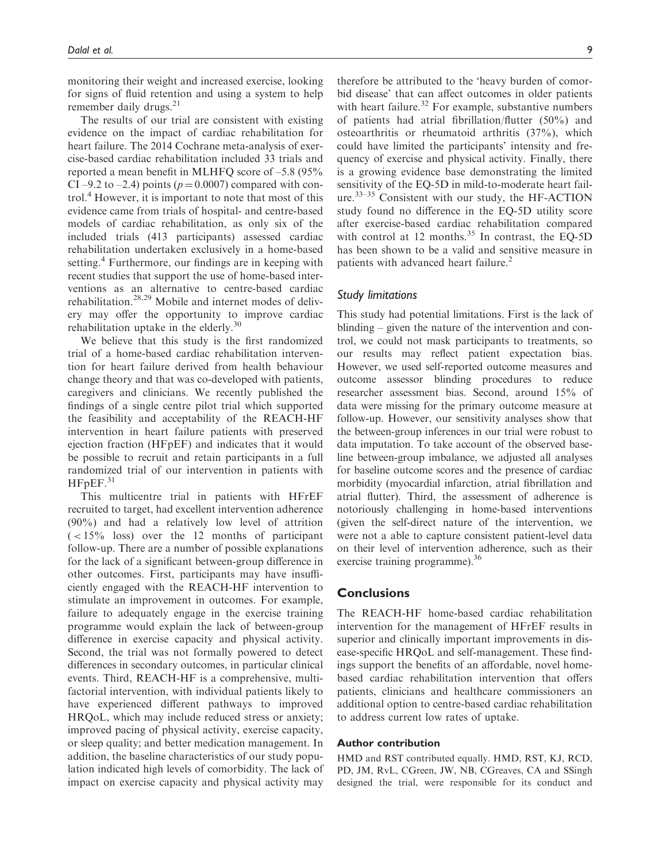monitoring their weight and increased exercise, looking for signs of fluid retention and using a system to help remember daily drugs. $^{21}$ 

The results of our trial are consistent with existing evidence on the impact of cardiac rehabilitation for heart failure. The 2014 Cochrane meta-analysis of exercise-based cardiac rehabilitation included 33 trials and reported a mean benefit in MLHFQ score of –5.8 (95% CI –9.2 to –2.4) points ( $p = 0.0007$ ) compared with control.<sup>4</sup> However, it is important to note that most of this evidence came from trials of hospital- and centre-based models of cardiac rehabilitation, as only six of the included trials (413 participants) assessed cardiac rehabilitation undertaken exclusively in a home-based setting.<sup>4</sup> Furthermore, our findings are in keeping with recent studies that support the use of home-based interventions as an alternative to centre-based cardiac rehabilitation.28,29 Mobile and internet modes of delivery may offer the opportunity to improve cardiac rehabilitation uptake in the elderly.<sup>30</sup>

We believe that this study is the first randomized trial of a home-based cardiac rehabilitation intervention for heart failure derived from health behaviour change theory and that was co-developed with patients, caregivers and clinicians. We recently published the findings of a single centre pilot trial which supported the feasibility and acceptability of the REACH-HF intervention in heart failure patients with preserved ejection fraction (HFpEF) and indicates that it would be possible to recruit and retain participants in a full randomized trial of our intervention in patients with  $H$ FpEF. $31$ 

This multicentre trial in patients with HFrEF recruited to target, had excellent intervention adherence (90%) and had a relatively low level of attrition  $(< 15\%$  loss) over the 12 months of participant follow-up. There are a number of possible explanations for the lack of a significant between-group difference in other outcomes. First, participants may have insufficiently engaged with the REACH-HF intervention to stimulate an improvement in outcomes. For example, failure to adequately engage in the exercise training programme would explain the lack of between-group difference in exercise capacity and physical activity. Second, the trial was not formally powered to detect differences in secondary outcomes, in particular clinical events. Third, REACH-HF is a comprehensive, multifactorial intervention, with individual patients likely to have experienced different pathways to improved HRQoL, which may include reduced stress or anxiety; improved pacing of physical activity, exercise capacity, or sleep quality; and better medication management. In addition, the baseline characteristics of our study population indicated high levels of comorbidity. The lack of impact on exercise capacity and physical activity may therefore be attributed to the 'heavy burden of comorbid disease' that can affect outcomes in older patients with heart failure.<sup>32</sup> For example, substantive numbers of patients had atrial fibrillation/flutter (50%) and osteoarthritis or rheumatoid arthritis (37%), which could have limited the participants' intensity and frequency of exercise and physical activity. Finally, there is a growing evidence base demonstrating the limited sensitivity of the EQ-5D in mild-to-moderate heart failure.<sup>33–35</sup> Consistent with our study, the HF-ACTION study found no difference in the EQ-5D utility score after exercise-based cardiac rehabilitation compared with control at 12 months.<sup>35</sup> In contrast, the EQ-5D has been shown to be a valid and sensitive measure in patients with advanced heart failure.<sup>2</sup>

### Study limitations

This study had potential limitations. First is the lack of blinding – given the nature of the intervention and control, we could not mask participants to treatments, so our results may reflect patient expectation bias. However, we used self-reported outcome measures and outcome assessor blinding procedures to reduce researcher assessment bias. Second, around 15% of data were missing for the primary outcome measure at follow-up. However, our sensitivity analyses show that the between-group inferences in our trial were robust to data imputation. To take account of the observed baseline between-group imbalance, we adjusted all analyses for baseline outcome scores and the presence of cardiac morbidity (myocardial infarction, atrial fibrillation and atrial flutter). Third, the assessment of adherence is notoriously challenging in home-based interventions (given the self-direct nature of the intervention, we were not a able to capture consistent patient-level data on their level of intervention adherence, such as their exercise training programme).<sup>36</sup>

### **Conclusions**

The REACH-HF home-based cardiac rehabilitation intervention for the management of HFrEF results in superior and clinically important improvements in disease-specific HRQoL and self-management. These findings support the benefits of an affordable, novel homebased cardiac rehabilitation intervention that offers patients, clinicians and healthcare commissioners an additional option to centre-based cardiac rehabilitation to address current low rates of uptake.

#### Author contribution

HMD and RST contributed equally. HMD, RST, KJ, RCD, PD, JM, RvL, CGreen, JW, NB, CGreaves, CA and SSingh designed the trial, were responsible for its conduct and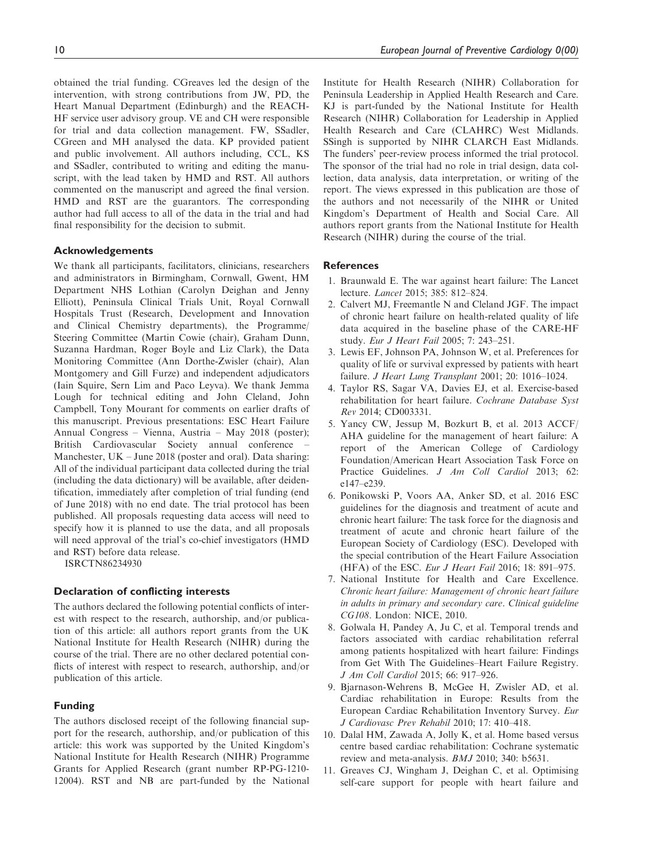obtained the trial funding. CGreaves led the design of the intervention, with strong contributions from JW, PD, the Heart Manual Department (Edinburgh) and the REACH-HF service user advisory group. VE and CH were responsible for trial and data collection management. FW, SSadler, CGreen and MH analysed the data. KP provided patient and public involvement. All authors including, CCL, KS and SSadler, contributed to writing and editing the manuscript, with the lead taken by HMD and RST. All authors commented on the manuscript and agreed the final version. HMD and RST are the guarantors. The corresponding author had full access to all of the data in the trial and had final responsibility for the decision to submit.

### Acknowledgements

We thank all participants, facilitators, clinicians, researchers and administrators in Birmingham, Cornwall, Gwent, HM Department NHS Lothian (Carolyn Deighan and Jenny Elliott), Peninsula Clinical Trials Unit, Royal Cornwall Hospitals Trust (Research, Development and Innovation and Clinical Chemistry departments), the Programme/ Steering Committee (Martin Cowie (chair), Graham Dunn, Suzanna Hardman, Roger Boyle and Liz Clark), the Data Monitoring Committee (Ann Dorthe-Zwisler (chair), Alan Montgomery and Gill Furze) and independent adjudicators (Iain Squire, Sern Lim and Paco Leyva). We thank Jemma Lough for technical editing and John Cleland, John Campbell, Tony Mourant for comments on earlier drafts of this manuscript. Previous presentations: ESC Heart Failure Annual Congress – Vienna, Austria – May 2018 (poster); British Cardiovascular Society annual conference – Manchester, UK – June 2018 (poster and oral). Data sharing: All of the individual participant data collected during the trial (including the data dictionary) will be available, after deidentification, immediately after completion of trial funding (end of June 2018) with no end date. The trial protocol has been published. All proposals requesting data access will need to specify how it is planned to use the data, and all proposals will need approval of the trial's co-chief investigators (HMD and RST) before data release.

ISRCTN86234930

#### Declaration of conflicting interests

The authors declared the following potential conflicts of interest with respect to the research, authorship, and/or publication of this article: all authors report grants from the UK National Institute for Health Research (NIHR) during the course of the trial. There are no other declared potential conflicts of interest with respect to research, authorship, and/or publication of this article.

#### Funding

The authors disclosed receipt of the following financial support for the research, authorship, and/or publication of this article: this work was supported by the United Kingdom's National Institute for Health Research (NIHR) Programme Grants for Applied Research (grant number RP-PG-1210- 12004). RST and NB are part-funded by the National Institute for Health Research (NIHR) Collaboration for Peninsula Leadership in Applied Health Research and Care. KJ is part-funded by the National Institute for Health Research (NIHR) Collaboration for Leadership in Applied Health Research and Care (CLAHRC) West Midlands. SSingh is supported by NIHR CLARCH East Midlands. The funders' peer-review process informed the trial protocol. The sponsor of the trial had no role in trial design, data collection, data analysis, data interpretation, or writing of the report. The views expressed in this publication are those of the authors and not necessarily of the NIHR or United Kingdom's Department of Health and Social Care. All authors report grants from the National Institute for Health Research (NIHR) during the course of the trial.

### References

- 1. Braunwald E. The war against heart failure: The Lancet lecture. Lancet 2015; 385: 812–824.
- 2. Calvert MJ, Freemantle N and Cleland JGF. The impact of chronic heart failure on health-related quality of life data acquired in the baseline phase of the CARE-HF study. Eur J Heart Fail 2005; 7: 243–251.
- 3. Lewis EF, Johnson PA, Johnson W, et al. Preferences for quality of life or survival expressed by patients with heart failure. *J Heart Lung Transplant* 2001; 20: 1016–1024.
- 4. Taylor RS, Sagar VA, Davies EJ, et al. Exercise-based rehabilitation for heart failure. Cochrane Database Syst Rev 2014; CD003331.
- 5. Yancy CW, Jessup M, Bozkurt B, et al. 2013 ACCF/ AHA guideline for the management of heart failure: A report of the American College of Cardiology Foundation/American Heart Association Task Force on Practice Guidelines. J Am Coll Cardiol 2013; 62: e147–e239.
- 6. Ponikowski P, Voors AA, Anker SD, et al. 2016 ESC guidelines for the diagnosis and treatment of acute and chronic heart failure: The task force for the diagnosis and treatment of acute and chronic heart failure of the European Society of Cardiology (ESC). Developed with the special contribution of the Heart Failure Association (HFA) of the ESC. Eur J Heart Fail 2016; 18: 891–975.
- 7. National Institute for Health and Care Excellence. Chronic heart failure: Management of chronic heart failure in adults in primary and secondary care. Clinical guideline CG108. London: NICE, 2010.
- 8. Golwala H, Pandey A, Ju C, et al. Temporal trends and factors associated with cardiac rehabilitation referral among patients hospitalized with heart failure: Findings from Get With The Guidelines–Heart Failure Registry. J Am Coll Cardiol 2015; 66: 917–926.
- 9. Bjarnason-Wehrens B, McGee H, Zwisler AD, et al. Cardiac rehabilitation in Europe: Results from the European Cardiac Rehabilitation Inventory Survey. Eur J Cardiovasc Prev Rehabil 2010; 17: 410–418.
- 10. Dalal HM, Zawada A, Jolly K, et al. Home based versus centre based cardiac rehabilitation: Cochrane systematic review and meta-analysis. BMJ 2010; 340: b5631.
- 11. Greaves CJ, Wingham J, Deighan C, et al. Optimising self-care support for people with heart failure and